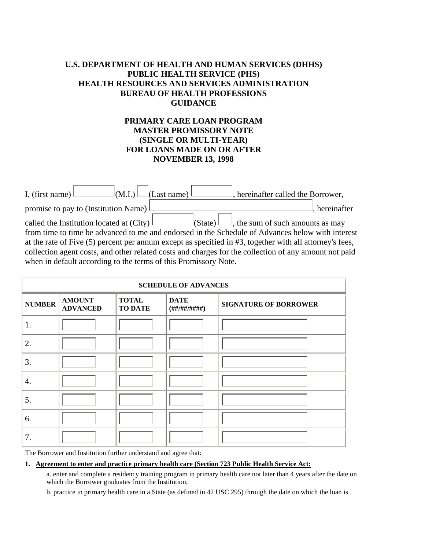# **U.S. DEPARTMENT OF HEALTH AND HUMAN SERVICES (DHHS) PUBLIC HEALTH SERVICE (PHS) HEALTH RESOURCES AND SERVICES ADMINISTRATION BUREAU OF HEALTH PROFESSIONS GUIDANCE**

# **PRIMARY CARE LOAN PROGRAM MASTER PROMISSORY NOTE (SINGLE OR MULTI-YEAR) FOR LOANS MADE ON OR AFTER NOVEMBER 13, 1998**

| $\lfloor$ (M.I.) $\lfloor$ (Last name) $\lfloor$<br>I, (first name) $\mathbb L$<br>, hereinafter called the Borrower,                                                                                                                                                                                                                                                                                                                                                                                                |  |
|----------------------------------------------------------------------------------------------------------------------------------------------------------------------------------------------------------------------------------------------------------------------------------------------------------------------------------------------------------------------------------------------------------------------------------------------------------------------------------------------------------------------|--|
| promise to pay to (Institution Name)<br>hereinafter                                                                                                                                                                                                                                                                                                                                                                                                                                                                  |  |
| called the Institution located at $(City)$<br>$\lfloor$ (State) $\lfloor \ldots \rfloor$ , the sum of such amounts as may<br>from time to time be advanced to me and endorsed in the Schedule of Advances below with interest<br>at the rate of Five (5) percent per annum except as specified in #3, together with all attorney's fees,<br>collection agent costs, and other related costs and charges for the collection of any amount not paid<br>when in default according to the terms of this Promissory Note. |  |

| <b>SCHEDULE OF ADVANCES</b> |                                  |                                |                                   |                              |  |
|-----------------------------|----------------------------------|--------------------------------|-----------------------------------|------------------------------|--|
| <b>NUMBER</b>               | <b>AMOUNT</b><br><b>ADVANCED</b> | <b>TOTAL</b><br><b>TO DATE</b> | <b>DATE</b><br>(H# / ## / # # #)) | <b>SIGNATURE OF BORROWER</b> |  |
| 1.                          |                                  |                                |                                   |                              |  |
| 2.                          |                                  |                                |                                   |                              |  |
| 3.                          |                                  |                                |                                   |                              |  |
| 4.                          |                                  |                                |                                   |                              |  |
| 5.                          |                                  |                                |                                   |                              |  |
| 6.                          |                                  |                                |                                   |                              |  |
| 7.                          |                                  |                                |                                   |                              |  |

The Borrower and Institution further understand and agree that:

## **1. Agreement to enter and practice primary health care (Section 723 Public Health Service Act:**

a. enter and complete a residency training program in primary health care not later than 4 years after the date on which the Borrower graduates from the Institution;

b. practice in primary health care in a State (as defined in 42 USC 295) through the date on which the loan is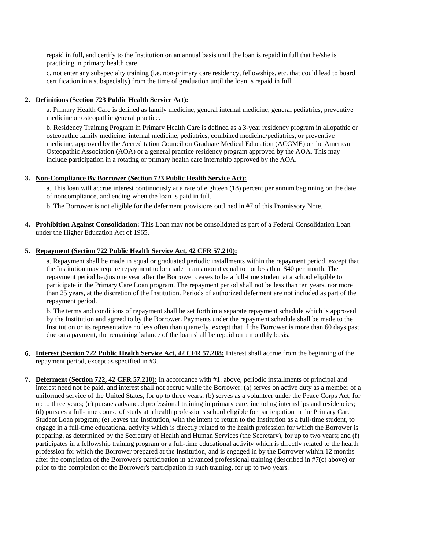repaid in full, and certify to the Institution on an annual basis until the loan is repaid in full that he/she is practicing in primary health care.

 c. not enter any subspecialty training (i.e. non-primary care residency, fellowships, etc. that could lead to board certification in a subspecialty) from the time of graduation until the loan is repaid in full.

### **2. Definitions (Section 723 Public Health Service Act):**

a. Primary Health Care is defined as family medicine, general internal medicine, general pediatrics, preventive medicine or osteopathic general practice.

b. Residency Training Program in Primary Health Care is defined as a 3-year residency program in allopathic or osteopathic family medicine, internal medicine, pediatrics, combined medicine/pediatrics, or preventive medicine, approved by the Accreditation Council on Graduate Medical Education (ACGME) or the American Osteopathic Association (AOA) or a general practice residency program approved by the AOA. This may include participation in a rotating or primary health care internship approved by the AOA.

#### **3. Non-Compliance By Borrower (Section 723 Public Health Service Act):**

a. This loan will accrue interest continuously at a rate of eighteen (18) percent per annum beginning on the date of noncompliance, and ending when the loan is paid in full.

b. The Borrower is not eligible for the deferment provisions outlined in #7 of this Promissory Note.

**4. Prohibition Against Consolidation:** This Loan may not be consolidated as part of a Federal Consolidation Loan under the Higher Education Act of 1965.

#### **5. Repayment (Section 722 Public Health Service Act, 42 CFR 57.210):**

a. Repayment shall be made in equal or graduated periodic installments within the repayment period, except that the Institution may require repayment to be made in an amount equal to not less than \$40 per month. The repayment period begins one year after the Borrower ceases to be a full-time student at a school eligible to participate in the Primary Care Loan program. The repayment period shall not be less than ten years, nor more than 25 years, at the discretion of the Institution. Periods of authorized deferment are not included as part of the repayment period.

 b. The terms and conditions of repayment shall be set forth in a separate repayment schedule which is approved by the Institution and agreed to by the Borrower. Payments under the repayment schedule shall be made to the Institution or its representative no less often than quarterly, except that if the Borrower is more than 60 days past due on a payment, the remaining balance of the loan shall be repaid on a monthly basis.

- **6. Interest (Section 722 Public Health Service Act, 42 CFR 57.208:** Interest shall accrue from the beginning of the repayment period, except as specified in #3.
- **7. Deferment (Section 722, 42 CFR 57.210):** In accordance with #1. above, periodic installments of principal and interest need not be paid, and interest shall not accrue while the Borrower: (a) serves on active duty as a member of a uniformed service of the United States, for up to three years; (b) serves as a volunteer under the Peace Corps Act, for up to three years; (c) pursues advanced professional training in primary care, including internships and residencies; (d) pursues a full-time course of study at a health professions school eligible for participation in the Primary Care Student Loan program; (e) leaves the Institution, with the intent to return to the Institution as a full-time student, to engage in a full-time educational activity which is directly related to the health profession for which the Borrower is preparing, as determined by the Secretary of Health and Human Services (the Secretary), for up to two years; and (f) participates in a fellowship training program or a full-time educational activity which is directly related to the health profession for which the Borrower prepared at the Institution, and is engaged in by the Borrower within 12 months after the completion of the Borrower's participation in advanced professional training (described in #7(c) above) or prior to the completion of the Borrower's participation in such training, for up to two years.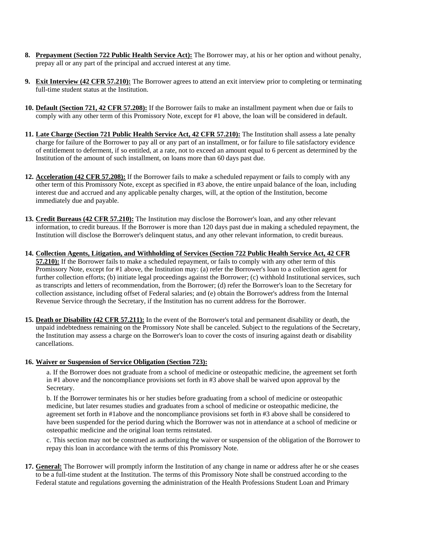- **8. Prepayment (Section 722 Public Health Service Act):** The Borrower may, at his or her option and without penalty, prepay all or any part of the principal and accrued interest at any time.
- **9. Exit Interview (42 CFR 57.210):** The Borrower agrees to attend an exit interview prior to completing or terminating full-time student status at the Institution.
- **10. Default (Section 721, 42 CFR 57.208):** If the Borrower fails to make an installment payment when due or fails to comply with any other term of this Promissory Note, except for #1 above, the loan will be considered in default.
- **11. Late Charge (Section 721 Public Health Service Act, 42 CFR 57.210):** The Institution shall assess a late penalty charge for failure of the Borrower to pay all or any part of an installment, or for failure to file satisfactory evidence of entitlement to deferment, if so entitled, at a rate, not to exceed an amount equal to 6 percent as determined by the Institution of the amount of such installment, on loans more than 60 days past due.
- **12. Acceleration (42 CFR 57.208):** If the Borrower fails to make a scheduled repayment or fails to comply with any other term of this Promissory Note, except as specified in #3 above, the entire unpaid balance of the loan, including interest due and accrued and any applicable penalty charges, will, at the option of the Institution, become immediately due and payable.
- **13. Credit Bureaus (42 CFR 57.210):** The Institution may disclose the Borrower's loan, and any other relevant information, to credit bureaus. If the Borrower is more than 120 days past due in making a scheduled repayment, the Institution will disclose the Borrower's delinquent status, and any other relevant information, to credit bureaus.
- **14. Collection Agents, Litigation, and Withholding of Services (Section 722 Public Health Service Act, 42 CFR 57.210):** If the Borrower fails to make a scheduled repayment, or fails to comply with any other term of this Promissory Note, except for #1 above, the Institution may: (a) refer the Borrower's loan to a collection agent for further collection efforts; (b) initiate legal proceedings against the Borrower; (c) withhold Institutional services, such as transcripts and letters of recommendation, from the Borrower; (d) refer the Borrower's loan to the Secretary for collection assistance, including offset of Federal salaries; and (e) obtain the Borrower's address from the Internal Revenue Service through the Secretary, if the Institution has no current address for the Borrower.
- **15. Death or Disability (42 CFR 57.211):** In the event of the Borrower's total and permanent disability or death, the unpaid indebtedness remaining on the Promissory Note shall be canceled. Subject to the regulations of the Secretary, the Institution may assess a charge on the Borrower's loan to cover the costs of insuring against death or disability cancellations.

### **16. Waiver or Suspension of Service Obligation (Section 723):**

a. If the Borrower does not graduate from a school of medicine or osteopathic medicine, the agreement set forth in #1 above and the noncompliance provisions set forth in #3 above shall be waived upon approval by the Secretary.

b. If the Borrower terminates his or her studies before graduating from a school of medicine or osteopathic medicine, but later resumes studies and graduates from a school of medicine or osteopathic medicine, the agreement set forth in #1above and the noncompliance provisions set forth in #3 above shall be considered to have been suspended for the period during which the Borrower was not in attendance at a school of medicine or osteopathic medicine and the original loan terms reinstated.

 c. This section may not be construed as authorizing the waiver or suspension of the obligation of the Borrower to repay this loan in accordance with the terms of this Promissory Note.

**17. General:** The Borrower will promptly inform the Institution of any change in name or address after he or she ceases to be a full-time student at the Institution. The terms of this Promissory Note shall be construed according to the Federal statute and regulations governing the administration of the Health Professions Student Loan and Primary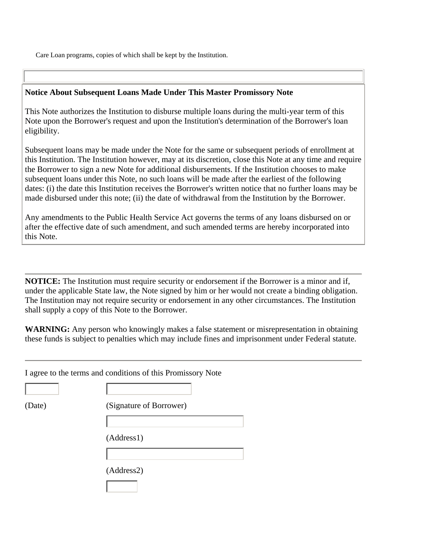Care Loan programs, copies of which shall be kept by the Institution.

## **Notice About Subsequent Loans Made Under This Master Promissory Note**

This Note authorizes the Institution to disburse multiple loans during the multi-year term of this Note upon the Borrower's request and upon the Institution's determination of the Borrower's loan eligibility.

Subsequent loans may be made under the Note for the same or subsequent periods of enrollment at this Institution. The Institution however, may at its discretion, close this Note at any time and require the Borrower to sign a new Note for additional disbursements. If the Institution chooses to make subsequent loans under this Note, no such loans will be made after the earliest of the following dates: (i) the date this Institution receives the Borrower's written notice that no further loans may be made disbursed under this note; (ii) the date of withdrawal from the Institution by the Borrower.

Any amendments to the Public Health Service Act governs the terms of any loans disbursed on or after the effective date of such amendment, and such amended terms are hereby incorporated into this Note.

**NOTICE:** The Institution must require security or endorsement if the Borrower is a minor and if, under the applicable State law, the Note signed by him or her would not create a binding obligation. The Institution may not require security or endorsement in any other circumstances. The Institution shall supply a copy of this Note to the Borrower.

**WARNING:** Any person who knowingly makes a false statement or misrepresentation in obtaining these funds is subject to penalties which may include fines and imprisonment under Federal statute.

|        | I agree to the terms and conditions of this Promissory Note |  |  |
|--------|-------------------------------------------------------------|--|--|
|        |                                                             |  |  |
| (Date) | (Signature of Borrower)                                     |  |  |
|        |                                                             |  |  |
|        | (Address1)                                                  |  |  |
|        |                                                             |  |  |
|        | (Address2)                                                  |  |  |
|        |                                                             |  |  |